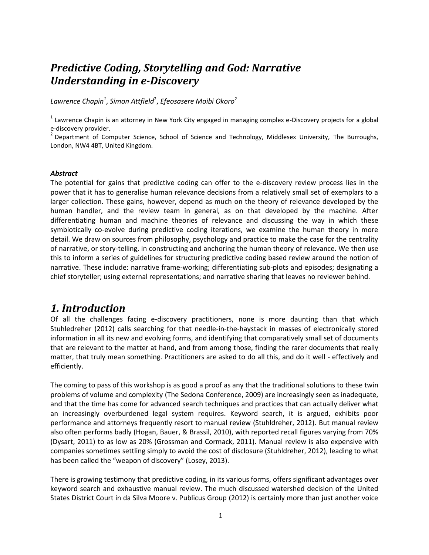## *Predictive Coding, Storytelling and God: Narrative Understanding in e-Discovery*

*Lawrence Chapin<sup>1</sup>* , *Simon Attfield*<sup>2</sup> , *Efeosasere Moibi Okoro*<sup>2</sup>

 $1$  Lawrence Chapin is an attorney in New York City engaged in managing complex e-Discovery projects for a global e-discovery provider.

<sup>2</sup> Department of Computer Science, School of Science and Technology, Middlesex University, The Burroughs, London, NW4 4BT, United Kingdom.

#### *Abstract*

The potential for gains that predictive coding can offer to the e-discovery review process lies in the power that it has to generalise human relevance decisions from a relatively small set of exemplars to a larger collection. These gains, however, depend as much on the theory of relevance developed by the human handler, and the review team in general, as on that developed by the machine. After differentiating human and machine theories of relevance and discussing the way in which these symbiotically co-evolve during predictive coding iterations, we examine the human theory in more detail. We draw on sources from philosophy, psychology and practice to make the case for the centrality of narrative, or story-telling, in constructing and anchoring the human theory of relevance. We then use this to inform a series of guidelines for structuring predictive coding based review around the notion of narrative. These include: narrative frame-working; differentiating sub-plots and episodes; designating a chief storyteller; using external representations; and narrative sharing that leaves no reviewer behind.

#### *1. Introduction*

Of all the challenges facing e-discovery practitioners, none is more daunting than that which Stuhledreher (2012) calls searching for that needle-in-the-haystack in masses of electronically stored information in all its new and evolving forms, and identifying that comparatively small set of documents that are relevant to the matter at hand, and from among those, finding the rarer documents that really matter, that truly mean something. Practitioners are asked to do all this, and do it well - effectively and efficiently.

The coming to pass of this workshop is as good a proof as any that the traditional solutions to these twin problems of volume and complexity (The Sedona Conference, 2009) are increasingly seen as inadequate, and that the time has come for advanced search techniques and practices that can actually deliver what an increasingly overburdened legal system requires. Keyword search, it is argued, exhibits poor performance and attorneys frequently resort to manual review (Stuhldreher, 2012). But manual review also often performs badly (Hogan, Bauer, & Brassil, 2010), with reported recall figures varying from 70% (Dysart, 2011) to as low as 20% (Grossman and Cormack, 2011). Manual review is also expensive with companies sometimes settling simply to avoid the cost of disclosure (Stuhldreher, 2012), leading to what has been called the "weapon of discovery" (Losey, 2013).

There is growing testimony that predictive coding, in its various forms, offers significant advantages over keyword search and exhaustive manual review. The much discussed watershed decision of the United States District Court in da Silva Moore v. Publicus Group (2012) is certainly more than just another voice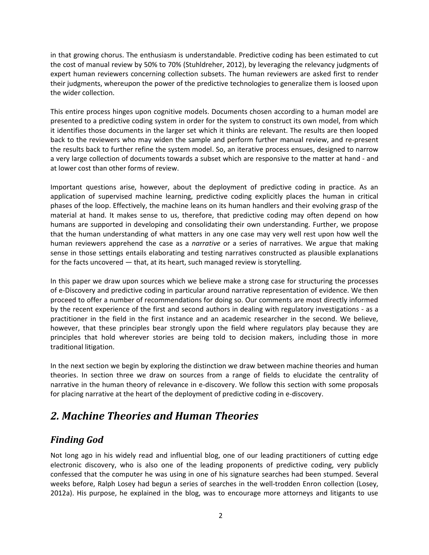in that growing chorus. The enthusiasm is understandable. Predictive coding has been estimated to cut the cost of manual review by 50% to 70% (Stuhldreher, 2012), by leveraging the relevancy judgments of expert human reviewers concerning collection subsets. The human reviewers are asked first to render their judgments, whereupon the power of the predictive technologies to generalize them is loosed upon the wider collection.

This entire process hinges upon cognitive models. Documents chosen according to a human model are presented to a predictive coding system in order for the system to construct its own model, from which it identifies those documents in the larger set which it thinks are relevant. The results are then looped back to the reviewers who may widen the sample and perform further manual review, and re-present the results back to further refine the system model. So, an iterative process ensues, designed to narrow a very large collection of documents towards a subset which are responsive to the matter at hand - and at lower cost than other forms of review.

Important questions arise, however, about the deployment of predictive coding in practice. As an application of supervised machine learning, predictive coding explicitly places the human in critical phases of the loop. Effectively, the machine leans on its human handlers and their evolving grasp of the material at hand. It makes sense to us, therefore, that predictive coding may often depend on how humans are supported in developing and consolidating their own understanding. Further, we propose that the human understanding of what matters in any one case may very well rest upon how well the human reviewers apprehend the case as a *narrative* or a series of narratives. We argue that making sense in those settings entails elaborating and testing narratives constructed as plausible explanations for the facts uncovered — that, at its heart, such managed review is storytelling.

In this paper we draw upon sources which we believe make a strong case for structuring the processes of e-Discovery and predictive coding in particular around narrative representation of evidence. We then proceed to offer a number of recommendations for doing so. Our comments are most directly informed by the recent experience of the first and second authors in dealing with regulatory investigations - as a practitioner in the field in the first instance and an academic researcher in the second. We believe, however, that these principles bear strongly upon the field where regulators play because they are principles that hold wherever stories are being told to decision makers, including those in more traditional litigation.

In the next section we begin by exploring the distinction we draw between machine theories and human theories. In section three we draw on sources from a range of fields to elucidate the centrality of narrative in the human theory of relevance in e-discovery. We follow this section with some proposals for placing narrative at the heart of the deployment of predictive coding in e-discovery.

## *2. Machine Theories and Human Theories*

### *Finding God*

Not long ago in his widely read and influential blog, one of our leading practitioners of cutting edge electronic discovery, who is also one of the leading proponents of predictive coding, very publicly confessed that the computer he was using in one of his signature searches had been stumped. Several weeks before, Ralph Losey had begun a series of searches in the well-trodden Enron collection (Losey, 2012a). His purpose, he explained in the blog, was to encourage more attorneys and litigants to use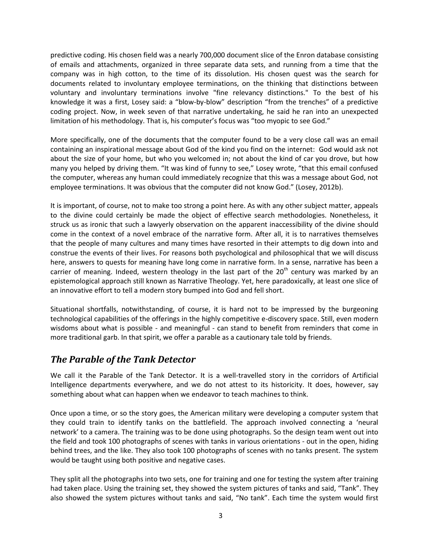predictive coding. His chosen field was a nearly 700,000 document slice of the Enron database consisting of emails and attachments, organized in three separate data sets, and running from a time that the company was in high cotton, to the time of its dissolution. His chosen quest was the search for documents related to involuntary employee terminations, on the thinking that distinctions between voluntary and involuntary terminations involve "fine relevancy distinctions." To the best of his knowledge it was a first, Losey said: a "blow-by-blow" description "from the trenches" of a predictive coding project. Now, in week seven of that narrative undertaking, he said he ran into an unexpected limitation of his methodology. That is, his computer's focus was "too myopic to see God."

More specifically, one of the documents that the computer found to be a very close call was an email containing an inspirational message about God of the kind you find on the internet: God would ask not about the size of your home, but who you welcomed in; not about the kind of car you drove, but how many you helped by driving them. "It was kind of funny to see," Losey wrote, "that this email confused the computer, whereas any human could immediately recognize that this was a message about God, not employee terminations. It was obvious that the computer did not know God." (Losey, 2012b).

It is important, of course, not to make too strong a point here. As with any other subject matter, appeals to the divine could certainly be made the object of effective search methodologies. Nonetheless, it struck us as ironic that such a lawyerly observation on the apparent inaccessibility of the divine should come in the context of a novel embrace of the narrative form. After all, it is to narratives themselves that the people of many cultures and many times have resorted in their attempts to dig down into and construe the events of their lives. For reasons both psychological and philosophical that we will discuss here, answers to quests for meaning have long come in narrative form. In a sense, narrative has been a carrier of meaning. Indeed, western theology in the last part of the  $20<sup>th</sup>$  century was marked by an epistemological approach still known as Narrative Theology. Yet, here paradoxically, at least one slice of an innovative effort to tell a modern story bumped into God and fell short.

Situational shortfalls, notwithstanding, of course, it is hard not to be impressed by the burgeoning technological capabilities of the offerings in the highly competitive e-discovery space. Still, even modern wisdoms about what is possible - and meaningful - can stand to benefit from reminders that come in more traditional garb. In that spirit, we offer a parable as a cautionary tale told by friends.

### *The Parable of the Tank Detector*

We call it the Parable of the Tank Detector. It is a well-travelled story in the corridors of Artificial Intelligence departments everywhere, and we do not attest to its historicity. It does, however, say something about what can happen when we endeavor to teach machines to think.

Once upon a time, or so the story goes, the American military were developing a computer system that they could train to identify tanks on the battlefield. The approach involved connecting a 'neural network' to a camera. The training was to be done using photographs. So the design team went out into the field and took 100 photographs of scenes with tanks in various orientations - out in the open, hiding behind trees, and the like. They also took 100 photographs of scenes with no tanks present. The system would be taught using both positive and negative cases.

They split all the photographs into two sets, one for training and one for testing the system after training had taken place. Using the training set, they showed the system pictures of tanks and said, "Tank". They also showed the system pictures without tanks and said, "No tank". Each time the system would first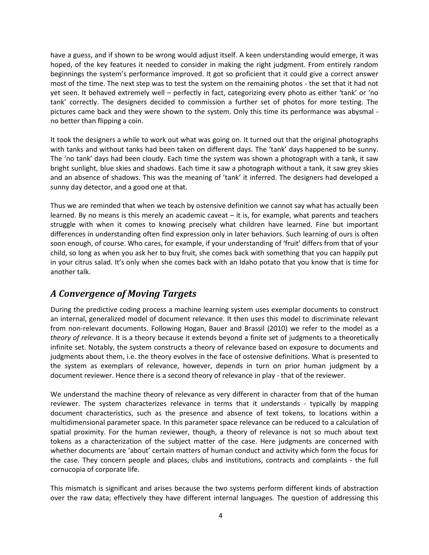have a guess, and if shown to be wrong would adjust itself. A keen understanding would emerge, it was hoped, of the key features it needed to consider in making the right judgment. From entirely random beginnings the system's performance improved. It got so proficient that it could give a correct answer most of the time. The next step was to test the system on the remaining photos - the set that it had not yet seen. It behaved extremely well – perfectly in fact, categorizing every photo as either 'tank' or 'no tank' correctly. The designers decided to commission a further set of photos for more testing. The pictures came back and they were shown to the system. Only this time its performance was abysmal no better than flipping a coin.

It took the designers a while to work out what was going on. It turned out that the original photographs with tanks and without tanks had been taken on different days. The 'tank' days happened to be sunny. The 'no tank' days had been cloudy. Each time the system was shown a photograph with a tank, it saw bright sunlight, blue skies and shadows. Each time it saw a photograph without a tank, it saw grey skies and an absence of shadows. This was the meaning of 'tank' it inferred. The designers had developed a sunny day detector, and a good one at that.

Thus we are reminded that when we teach by ostensive definition we cannot say what has actually been learned. By no means is this merely an academic caveat – it is, for example, what parents and teachers struggle with when it comes to knowing precisely what children have learned. Fine but important differences in understanding often find expression only in later behaviors. Such learning of ours is often soon enough, of course. Who cares, for example, if your understanding of 'fruit' differs from that of your child, so long as when you ask her to buy fruit, she comes back with something that you can happily put in your citrus salad. It's only when she comes back with an Idaho potato that you know that is time for another talk.

### *A Convergence of Moving Targets*

During the predictive coding process a machine learning system uses exemplar documents to construct an internal, generalized model of document relevance. It then uses this model to discriminate relevant from non-relevant documents. Following Hogan, Bauer and Brassil (2010) we refer to the model as a *theory of relevance*. It is a theory because it extends beyond a finite set of judgments to a theoretically infinite set. Notably, the system constructs a theory of relevance based on exposure to documents and judgments about them, i.e. the theory evolves in the face of ostensive definitions. What is presented to the system as exemplars of relevance, however, depends in turn on prior human judgment by a document reviewer. Hence there is a second theory of relevance in play - that of the reviewer.

We understand the machine theory of relevance as very different in character from that of the human reviewer. The system characterizes relevance in terms that it understands - typically by mapping document characteristics, such as the presence and absence of text tokens, to locations within a multidimensional parameter space. In this parameter space relevance can be reduced to a calculation of spatial proximity. For the human reviewer, though, a theory of relevance is not so much about text tokens as a characterization of the subject matter of the case. Here judgments are concerned with whether documents are 'about' certain matters of human conduct and activity which form the focus for the case. They concern people and places, clubs and institutions, contracts and complaints - the full cornucopia of corporate life.

This mismatch is significant and arises because the two systems perform different kinds of abstraction over the raw data; effectively they have different internal languages. The question of addressing this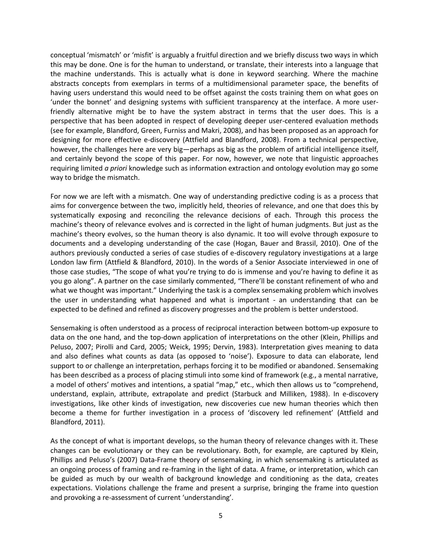conceptual 'mismatch' or 'misfit' is arguably a fruitful direction and we briefly discuss two ways in which this may be done. One is for the human to understand, or translate, their interests into a language that the machine understands. This is actually what is done in keyword searching. Where the machine abstracts concepts from exemplars in terms of a multidimensional parameter space, the benefits of having users understand this would need to be offset against the costs training them on what goes on 'under the bonnet' and designing systems with sufficient transparency at the interface. A more userfriendly alternative might be to have the system abstract in terms that the user does. This is a perspective that has been adopted in respect of developing deeper user-centered evaluation methods (see for example, Blandford, Green, Furniss and Makri, 2008), and has been proposed as an approach for designing for more effective e-discovery (Attfield and Blandford, 2008). From a technical perspective, however, the challenges here are very big—perhaps as big as the problem of artificial intelligence itself, and certainly beyond the scope of this paper. For now, however, we note that linguistic approaches requiring limited *a priori* knowledge such as information extraction and ontology evolution may go some way to bridge the mismatch.

For now we are left with a mismatch. One way of understanding predictive coding is as a process that aims for convergence between the two, implicitly held, theories of relevance, and one that does this by systematically exposing and reconciling the relevance decisions of each. Through this process the machine's theory of relevance evolves and is corrected in the light of human judgments. But just as the machine's theory evolves, so the human theory is also dynamic. It too will evolve through exposure to documents and a developing understanding of the case (Hogan, Bauer and Brassil, 2010). One of the authors previously conducted a series of case studies of e-discovery regulatory investigations at a large London law firm (Attfield & Blandford, 2010). In the words of a Senior Associate interviewed in one of those case studies, "The scope of what you're trying to do is immense and you're having to define it as you go along". A partner on the case similarly commented, "There'll be constant refinement of who and what we thought was important." Underlying the task is a complex sensemaking problem which involves the user in understanding what happened and what is important - an understanding that can be expected to be defined and refined as discovery progresses and the problem is better understood.

Sensemaking is often understood as a process of reciprocal interaction between bottom-up exposure to data on the one hand, and the top-down application of interpretations on the other (Klein, Phillips and Peluso, 2007; Pirolli and Card, 2005; Weick, 1995; Dervin, 1983). Interpretation gives meaning to data and also defines what counts as data (as opposed to 'noise'). Exposure to data can elaborate, lend support to or challenge an interpretation, perhaps forcing it to be modified or abandoned. Sensemaking has been described as a process of placing stimuli into some kind of framework (e.g., a mental narrative, a model of others' motives and intentions, a spatial "map," etc., which then allows us to "comprehend, understand, explain, attribute, extrapolate and predict (Starbuck and Milliken, 1988). In e-discovery investigations, like other kinds of investigation, new discoveries cue new human theories which then become a theme for further investigation in a process of 'discovery led refinement' (Attfield and Blandford, 2011).

As the concept of what is important develops, so the human theory of relevance changes with it. These changes can be evolutionary or they can be revolutionary. Both, for example, are captured by Klein, Phillips and Peluso's (2007) Data-Frame theory of sensemaking, in which sensemaking is articulated as an ongoing process of framing and re-framing in the light of data. A frame, or interpretation, which can be guided as much by our wealth of background knowledge and conditioning as the data, creates expectations. Violations challenge the frame and present a surprise, bringing the frame into question and provoking a re-assessment of current 'understanding'.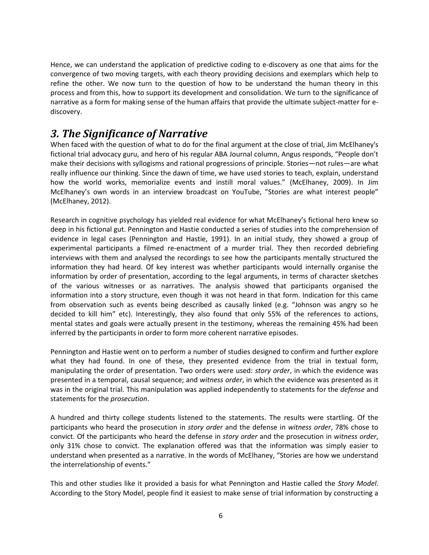Hence, we can understand the application of predictive coding to e-discovery as one that aims for the convergence of two moving targets, with each theory providing decisions and exemplars which help to refine the other. We now turn to the question of how to be understand the human theory in this process and from this, how to support its development and consolidation. We turn to the significance of narrative as a form for making sense of the human affairs that provide the ultimate subject-matter for ediscovery.

# *3. The Significance of Narrative*

When faced with the question of what to do for the final argument at the close of trial, Jim McElhaney's fictional trial advocacy guru, and hero of his regular ABA Journal column, Angus responds, "People don't make their decisions with syllogisms and rational progressions of principle. Stories—not rules—are what really influence our thinking. Since the dawn of time, we have used stories to teach, explain, understand how the world works, memorialize events and instill moral values." (McElhaney, 2009). In Jim McElhaney's own words in an interview broadcast on YouTube, "Stories are what interest people" (McElhaney, 2012).

Research in cognitive psychology has yielded real evidence for what McElhaney's fictional hero knew so deep in his fictional gut. Pennington and Hastie conducted a series of studies into the comprehension of evidence in legal cases (Pennington and Hastie, 1991). In an initial study, they showed a group of experimental participants a filmed re-enactment of a murder trial. They then recorded debriefing interviews with them and analysed the recordings to see how the participants mentally structured the information they had heard. Of key interest was whether participants would internally organise the information by order of presentation, according to the legal arguments, in terms of character sketches of the various witnesses or as narratives. The analysis showed that participants organised the information into a story structure, even though it was not heard in that form. Indication for this came from observation such as events being described as causally linked (e.g. "Johnson was angry so he decided to kill him" etc). Interestingly, they also found that only 55% of the references to actions, mental states and goals were actually present in the testimony, whereas the remaining 45% had been inferred by the participants in order to form more coherent narrative episodes.

Pennington and Hastie went on to perform a number of studies designed to confirm and further explore what they had found. In one of these, they presented evidence from the trial in textual form, manipulating the order of presentation. Two orders were used: *story order*, in which the evidence was presented in a temporal, causal sequence; and *witness order*, in which the evidence was presented as it was in the original trial. This manipulation was applied independently to statements for the *defense* and statements for the *prosecution*.

A hundred and thirty college students listened to the statements. The results were startling. Of the participants who heard the prosecution in *story order* and the defense in *witness order*, 78% chose to convict. Of the participants who heard the defense in *story order* and the prosecution in *witness order*, only 31% chose to convict. The explanation offered was that the information was simply easier to understand when presented as a narrative. In the words of McElhaney, "Stories are how we understand the interrelationship of events."

This and other studies like it provided a basis for what Pennington and Hastie called the *Story Model*. According to the Story Model, people find it easiest to make sense of trial information by constructing a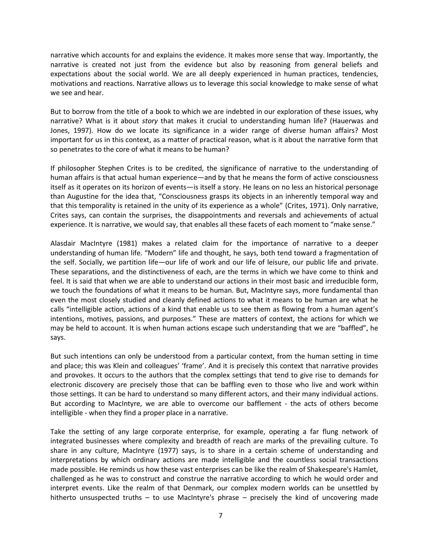narrative which accounts for and explains the evidence. It makes more sense that way. Importantly, the narrative is created not just from the evidence but also by reasoning from general beliefs and expectations about the social world. We are all deeply experienced in human practices, tendencies, motivations and reactions. Narrative allows us to leverage this social knowledge to make sense of what we see and hear.

But to borrow from the title of a book to which we are indebted in our exploration of these issues, why narrative? What is it about *story* that makes it crucial to understanding human life? (Hauerwas and Jones, 1997). How do we locate its significance in a wider range of diverse human affairs? Most important for us in this context, as a matter of practical reason, what is it about the narrative form that so penetrates to the core of what it means to be human?

If philosopher Stephen Crites is to be credited, the significance of narrative to the understanding of human affairs is that actual human experience—and by that he means the form of active consciousness itself as it operates on its horizon of events—is itself a story. He leans on no less an historical personage than Augustine for the idea that, "Consciousness grasps its objects in an inherently temporal way and that this temporality is retained in the unity of its experience as a whole" (Crites, 1971). Only narrative, Crites says, can contain the surprises, the disappointments and reversals and achievements of actual experience. It is narrative, we would say, that enables all these facets of each moment to "make sense."

Alasdair MacIntyre (1981) makes a related claim for the importance of narrative to a deeper understanding of human life. "Modern" life and thought, he says, both tend toward a fragmentation of the self. Socially, we partition life—our life of work and our life of leisure, our public life and private. These separations, and the distinctiveness of each, are the terms in which we have come to think and feel. It is said that when we are able to understand our actions in their most basic and irreducible form, we touch the foundations of what it means to be human. But, MacIntyre says, more fundamental than even the most closely studied and cleanly defined actions to what it means to be human are what he calls "intelligible action, actions of a kind that enable us to see them as flowing from a human agent's intentions, motives, passions, and purposes." These are matters of context, the actions for which we may be held to account. It is when human actions escape such understanding that we are "baffled", he says.

But such intentions can only be understood from a particular context, from the human setting in time and place; this was Klein and colleagues' 'frame'. And it is precisely this context that narrative provides and provokes. It occurs to the authors that the complex settings that tend to give rise to demands for electronic discovery are precisely those that can be baffling even to those who live and work within those settings. It can be hard to understand so many different actors, and their many individual actions. But according to MacIntyre, we are able to overcome our bafflement - the acts of others become intelligible - when they find a proper place in a narrative.

Take the setting of any large corporate enterprise, for example, operating a far flung network of integrated businesses where complexity and breadth of reach are marks of the prevailing culture. To share in any culture, MacIntyre (1977) says, is to share in a certain scheme of understanding and interpretations by which ordinary actions are made intelligible and the countless social transactions made possible. He reminds us how these vast enterprises can be like the realm of Shakespeare's Hamlet, challenged as he was to construct and construe the narrative according to which he would order and interpret events. Like the realm of that Denmark, our complex modern worlds can be unsettled by hitherto unsuspected truths  $-$  to use MacIntyre's phrase  $-$  precisely the kind of uncovering made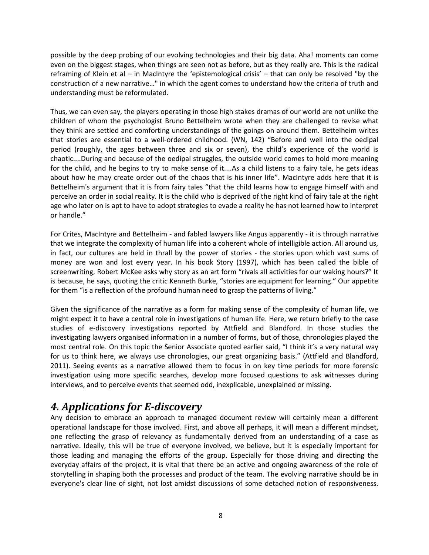possible by the deep probing of our evolving technologies and their big data. Aha! moments can come even on the biggest stages, when things are seen not as before, but as they really are. This is the radical reframing of Klein et al – in MacIntyre the 'epistemological crisis' – that can only be resolved "by the construction of a new narrative…" in which the agent comes to understand how the criteria of truth and understanding must be reformulated.

Thus, we can even say, the players operating in those high stakes dramas of our world are not unlike the children of whom the psychologist Bruno Bettelheim wrote when they are challenged to revise what they think are settled and comforting understandings of the goings on around them. Bettelheim writes that stories are essential to a well-ordered childhood. (WN, 142) "Before and well into the oedipal period (roughly, the ages between three and six or seven), the child's experience of the world is chaotic....During and because of the oedipal struggles, the outside world comes to hold more meaning for the child, and he begins to try to make sense of it....As a child listens to a fairy tale, he gets ideas about how he may create order out of the chaos that is his inner life". MacIntyre adds here that it is Bettelheim's argument that it is from fairy tales "that the child learns how to engage himself with and perceive an order in social reality. It is the child who is deprived of the right kind of fairy tale at the right age who later on is apt to have to adopt strategies to evade a reality he has not learned how to interpret or handle."

For Crites, MacIntyre and Bettelheim - and fabled lawyers like Angus apparently - it is through narrative that we integrate the complexity of human life into a coherent whole of intelligible action. All around us, in fact, our cultures are held in thrall by the power of stories - the stories upon which vast sums of money are won and lost every year. In his book Story (1997), which has been called the bible of screenwriting, Robert McKee asks why story as an art form "rivals all activities for our waking hours?" It is because, he says, quoting the critic Kenneth Burke, "stories are equipment for learning." Our appetite for them "is a reflection of the profound human need to grasp the patterns of living."

Given the significance of the narrative as a form for making sense of the complexity of human life, we might expect it to have a central role in investigations of human life. Here, we return briefly to the case studies of e-discovery investigations reported by Attfield and Blandford. In those studies the investigating lawyers organised information in a number of forms, but of those, chronologies played the most central role. On this topic the Senior Associate quoted earlier said, "I think it's a very natural way for us to think here, we always use chronologies, our great organizing basis." (Attfield and Blandford, 2011). Seeing events as a narrative allowed them to focus in on key time periods for more forensic investigation using more specific searches, develop more focused questions to ask witnesses during interviews, and to perceive events that seemed odd, inexplicable, unexplained or missing.

## *4. Applications for E-discovery*

Any decision to embrace an approach to managed document review will certainly mean a different operational landscape for those involved. First, and above all perhaps, it will mean a different mindset, one reflecting the grasp of relevancy as fundamentally derived from an understanding of a case as narrative. Ideally, this will be true of everyone involved, we believe, but it is especially important for those leading and managing the efforts of the group. Especially for those driving and directing the everyday affairs of the project, it is vital that there be an active and ongoing awareness of the role of storytelling in shaping both the processes and product of the team. The evolving narrative should be in everyone's clear line of sight, not lost amidst discussions of some detached notion of responsiveness.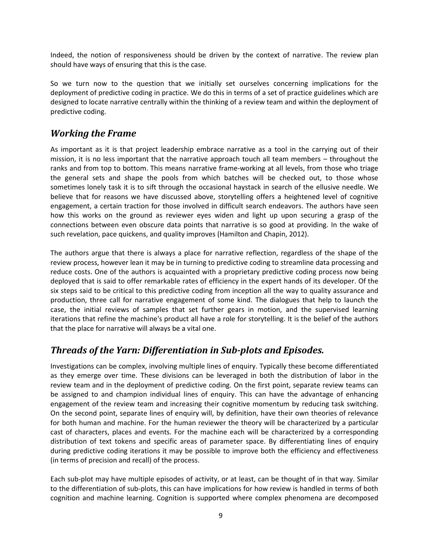Indeed, the notion of responsiveness should be driven by the context of narrative. The review plan should have ways of ensuring that this is the case.

So we turn now to the question that we initially set ourselves concerning implications for the deployment of predictive coding in practice. We do this in terms of a set of practice guidelines which are designed to locate narrative centrally within the thinking of a review team and within the deployment of predictive coding.

#### *Working the Frame*

As important as it is that project leadership embrace narrative as a tool in the carrying out of their mission, it is no less important that the narrative approach touch all team members – throughout the ranks and from top to bottom. This means narrative frame-working at all levels, from those who triage the general sets and shape the pools from which batches will be checked out, to those whose sometimes lonely task it is to sift through the occasional haystack in search of the ellusive needle. We believe that for reasons we have discussed above, storytelling offers a heightened level of cognitive engagement, a certain traction for those involved in difficult search endeavors. The authors have seen how this works on the ground as reviewer eyes widen and light up upon securing a grasp of the connections between even obscure data points that narrative is so good at providing. In the wake of such revelation, pace quickens, and quality improves (Hamilton and Chapin, 2012).

The authors argue that there is always a place for narrative reflection, regardless of the shape of the review process, however lean it may be in turning to predictive coding to streamline data processing and reduce costs. One of the authors is acquainted with a proprietary predictive coding process now being deployed that is said to offer remarkable rates of efficiency in the expert hands of its developer. Of the six steps said to be critical to this predictive coding from inception all the way to quality assurance and production, three call for narrative engagement of some kind. The dialogues that help to launch the case, the initial reviews of samples that set further gears in motion, and the supervised learning iterations that refine the machine's product all have a role for storytelling. It is the belief of the authors that the place for narrative will always be a vital one.

### *Threads of the Yarn: Differentiation in Sub-plots and Episodes.*

Investigations can be complex, involving multiple lines of enquiry. Typically these become differentiated as they emerge over time. These divisions can be leveraged in both the distribution of labor in the review team and in the deployment of predictive coding. On the first point, separate review teams can be assigned to and champion individual lines of enquiry. This can have the advantage of enhancing engagement of the review team and increasing their cognitive momentum by reducing task switching. On the second point, separate lines of enquiry will, by definition, have their own theories of relevance for both human and machine. For the human reviewer the theory will be characterized by a particular cast of characters, places and events. For the machine each will be characterized by a corresponding distribution of text tokens and specific areas of parameter space. By differentiating lines of enquiry during predictive coding iterations it may be possible to improve both the efficiency and effectiveness (in terms of precision and recall) of the process.

Each sub-plot may have multiple episodes of activity, or at least, can be thought of in that way. Similar to the differentiation of sub-plots, this can have implications for how review is handled in terms of both cognition and machine learning. Cognition is supported where complex phenomena are decomposed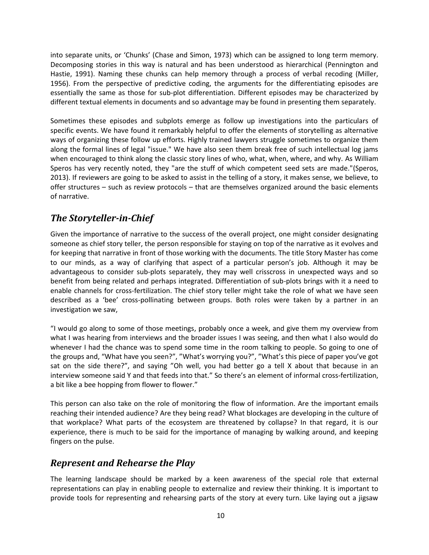into separate units, or 'Chunks' (Chase and Simon, 1973) which can be assigned to long term memory. Decomposing stories in this way is natural and has been understood as hierarchical (Pennington and Hastie, 1991). Naming these chunks can help memory through a process of verbal recoding (Miller, 1956). From the perspective of predictive coding, the arguments for the differentiating episodes are essentially the same as those for sub-plot differentiation. Different episodes may be characterized by different textual elements in documents and so advantage may be found in presenting them separately.

Sometimes these episodes and subplots emerge as follow up investigations into the particulars of specific events. We have found it remarkably helpful to offer the elements of storytelling as alternative ways of organizing these follow up efforts. Highly trained lawyers struggle sometimes to organize them along the formal lines of legal "issue." We have also seen them break free of such intellectual log jams when encouraged to think along the classic story lines of who, what, when, where, and why. As William Speros has very recently noted, they "are the stuff of which competent seed sets are made."(Speros, 2013). If reviewers are going to be asked to assist in the telling of a story, it makes sense, we believe, to offer structures – such as review protocols – that are themselves organized around the basic elements of narrative.

#### *The Storyteller-in-Chief*

Given the importance of narrative to the success of the overall project, one might consider designating someone as chief story teller, the person responsible for staying on top of the narrative as it evolves and for keeping that narrative in front of those working with the documents. The title Story Master has come to our minds, as a way of clarifying that aspect of a particular person's job. Although it may be advantageous to consider sub-plots separately, they may well crisscross in unexpected ways and so benefit from being related and perhaps integrated. Differentiation of sub-plots brings with it a need to enable channels for cross-fertilization. The chief story teller might take the role of what we have seen described as a 'bee' cross-pollinating between groups. Both roles were taken by a partner in an investigation we saw,

"I would go along to some of those meetings, probably once a week, and give them my overview from what I was hearing from interviews and the broader issues I was seeing, and then what I also would do whenever I had the chance was to spend some time in the room talking to people. So going to one of the groups and, "What have you seen?", "What's worrying you?", "What's this piece of paper you've got sat on the side there?", and saying "Oh well, you had better go a tell X about that because in an interview someone said Y and that feeds into that." So there's an element of informal cross-fertilization, a bit like a bee hopping from flower to flower."

This person can also take on the role of monitoring the flow of information. Are the important emails reaching their intended audience? Are they being read? What blockages are developing in the culture of that workplace? What parts of the ecosystem are threatened by collapse? In that regard, it is our experience, there is much to be said for the importance of managing by walking around, and keeping fingers on the pulse.

#### *Represent and Rehearse the Play*

The learning landscape should be marked by a keen awareness of the special role that external representations can play in enabling people to externalize and review their thinking. It is important to provide tools for representing and rehearsing parts of the story at every turn. Like laying out a jigsaw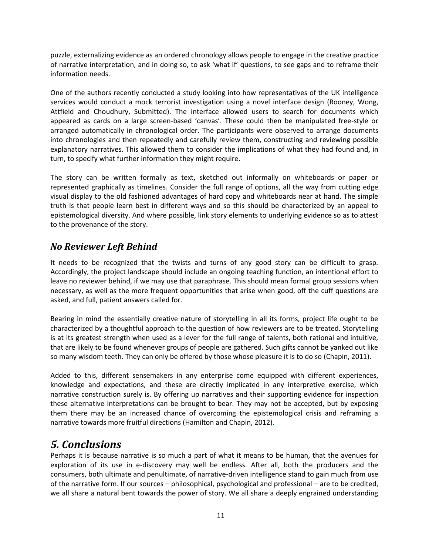puzzle, externalizing evidence as an ordered chronology allows people to engage in the creative practice of narrative interpretation, and in doing so, to ask 'what if' questions, to see gaps and to reframe their information needs.

One of the authors recently conducted a study looking into how representatives of the UK intelligence services would conduct a mock terrorist investigation using a novel interface design (Rooney, Wong, Attfield and Choudhury, Submitted). The interface allowed users to search for documents which appeared as cards on a large screen-based 'canvas'. These could then be manipulated free-style or arranged automatically in chronological order. The participants were observed to arrange documents into chronologies and then repeatedly and carefully review them, constructing and reviewing possible explanatory narratives. This allowed them to consider the implications of what they had found and, in turn, to specify what further information they might require.

The story can be written formally as text, sketched out informally on whiteboards or paper or represented graphically as timelines. Consider the full range of options, all the way from cutting edge visual display to the old fashioned advantages of hard copy and whiteboards near at hand. The simple truth is that people learn best in different ways and so this should be characterized by an appeal to epistemological diversity. And where possible, link story elements to underlying evidence so as to attest to the provenance of the story.

#### *No Reviewer Left Behind*

It needs to be recognized that the twists and turns of any good story can be difficult to grasp. Accordingly, the project landscape should include an ongoing teaching function, an intentional effort to leave no reviewer behind, if we may use that paraphrase. This should mean formal group sessions when necessary, as well as the more frequent opportunities that arise when good, off the cuff questions are asked, and full, patient answers called for.

Bearing in mind the essentially creative nature of storytelling in all its forms, project life ought to be characterized by a thoughtful approach to the question of how reviewers are to be treated. Storytelling is at its greatest strength when used as a lever for the full range of talents, both rational and intuitive, that are likely to be found whenever groups of people are gathered. Such gifts cannot be yanked out like so many wisdom teeth. They can only be offered by those whose pleasure it is to do so (Chapin, 2011).

Added to this, different sensemakers in any enterprise come equipped with different experiences, knowledge and expectations, and these are directly implicated in any interpretive exercise, which narrative construction surely is. By offering up narratives and their supporting evidence for inspection these alternative interpretations can be brought to bear. They may not be accepted, but by exposing them there may be an increased chance of overcoming the epistemological crisis and reframing a narrative towards more fruitful directions (Hamilton and Chapin, 2012).

## *5. Conclusions*

Perhaps it is because narrative is so much a part of what it means to be human, that the avenues for exploration of its use in e-discovery may well be endless. After all, both the producers and the consumers, both ultimate and penultimate, of narrative-driven intelligence stand to gain much from use of the narrative form. If our sources – philosophical, psychological and professional – are to be credited, we all share a natural bent towards the power of story. We all share a deeply engrained understanding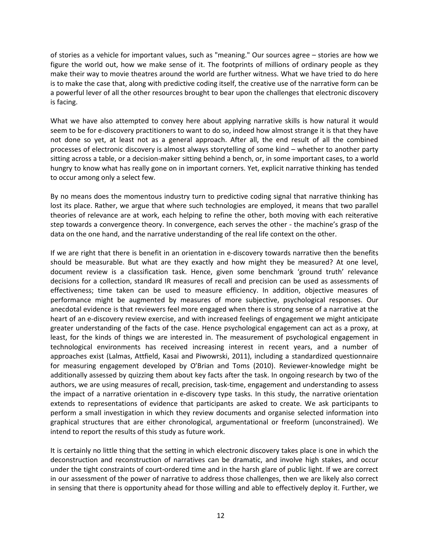of stories as a vehicle for important values, such as "meaning." Our sources agree – stories are how we figure the world out, how we make sense of it. The footprints of millions of ordinary people as they make their way to movie theatres around the world are further witness. What we have tried to do here is to make the case that, along with predictive coding itself, the creative use of the narrative form can be a powerful lever of all the other resources brought to bear upon the challenges that electronic discovery is facing.

What we have also attempted to convey here about applying narrative skills is how natural it would seem to be for e-discovery practitioners to want to do so, indeed how almost strange it is that they have not done so yet, at least not as a general approach. After all, the end result of all the combined processes of electronic discovery is almost always storytelling of some kind – whether to another party sitting across a table, or a decision-maker sitting behind a bench, or, in some important cases, to a world hungry to know what has really gone on in important corners. Yet, explicit narrative thinking has tended to occur among only a select few.

By no means does the momentous industry turn to predictive coding signal that narrative thinking has lost its place. Rather, we argue that where such technologies are employed, it means that two parallel theories of relevance are at work, each helping to refine the other, both moving with each reiterative step towards a convergence theory. In convergence, each serves the other - the machine's grasp of the data on the one hand, and the narrative understanding of the real life context on the other.

If we are right that there is benefit in an orientation in e-discovery towards narrative then the benefits should be measurable. But what are they exactly and how might they be measured? At one level, document review is a classification task. Hence, given some benchmark 'ground truth' relevance decisions for a collection, standard IR measures of recall and precision can be used as assessments of effectiveness; time taken can be used to measure efficiency. In addition, objective measures of performance might be augmented by measures of more subjective, psychological responses. Our anecdotal evidence is that reviewers feel more engaged when there is strong sense of a narrative at the heart of an e-discovery review exercise, and with increased feelings of engagement we might anticipate greater understanding of the facts of the case. Hence psychological engagement can act as a proxy, at least, for the kinds of things we are interested in. The measurement of psychological engagement in technological environments has received increasing interest in recent years, and a number of approaches exist (Lalmas, Attfield, Kasai and Piwowrski, 2011), including a standardized questionnaire for measuring engagement developed by O'Brian and Toms (2010). Reviewer-knowledge might be additionally assessed by quizzing them about key facts after the task. In ongoing research by two of the authors, we are using measures of recall, precision, task-time, engagement and understanding to assess the impact of a narrative orientation in e-discovery type tasks. In this study, the narrative orientation extends to representations of evidence that participants are asked to create. We ask participants to perform a small investigation in which they review documents and organise selected information into graphical structures that are either chronological, argumentational or freeform (unconstrained). We intend to report the results of this study as future work.

It is certainly no little thing that the setting in which electronic discovery takes place is one in which the deconstruction and reconstruction of narratives can be dramatic, and involve high stakes, and occur under the tight constraints of court-ordered time and in the harsh glare of public light. If we are correct in our assessment of the power of narrative to address those challenges, then we are likely also correct in sensing that there is opportunity ahead for those willing and able to effectively deploy it. Further, we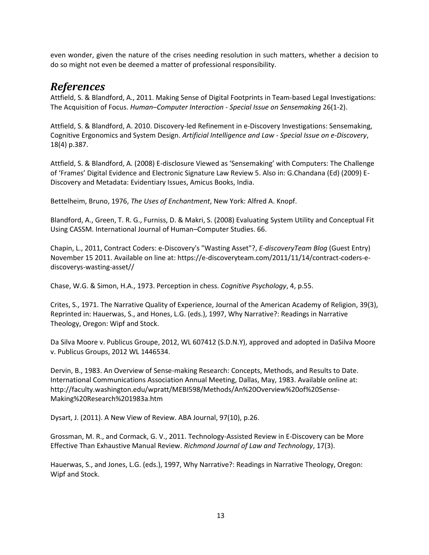even wonder, given the nature of the crises needing resolution in such matters, whether a decision to do so might not even be deemed a matter of professional responsibility.

### *References*

Attfield, S. & Blandford, A., 2011. Making Sense of Digital Footprints in Team-based Legal Investigations: The Acquisition of Focus. *Human–Computer Interaction - Special Issue on Sensemaking* 26(1-2).

Attfield, S. & Blandford, A. 2010. Discovery-led Refinement in e-Discovery Investigations: Sensemaking, Cognitive Ergonomics and System Design. *Artificial Intelligence and Law - Special Issue on e-Discovery*, 18(4) p.387.

Attfield, S. & Blandford, A. (2008) E-disclosure Viewed as 'Sensemaking' with Computers: The Challenge of 'Frames' Digital Evidence and Electronic Signature Law Review 5. Also in: G.Chandana (Ed) (2009) E-Discovery and Metadata: Evidentiary Issues, Amicus Books, India.

Bettelheim, Bruno, 1976, *The Uses of Enchantment*, New York: Alfred A. Knopf.

Blandford, A., Green, T. R. G., Furniss, D. & Makri, S. (2008) Evaluating System Utility and Conceptual Fit Using CASSM. International Journal of Human–Computer Studies. 66.

Chapin, L., 2011, Contract Coders: e-Discovery's "Wasting Asset"?, *E-discoveryTeam Blog* (Guest Entry) November 15 2011. Available on line at: https://e-discoveryteam.com/2011/11/14/contract-coders-ediscoverys-wasting-asset//

Chase, W.G. & Simon, H.A., 1973. Perception in chess. *Cognitive Psychology*, 4, p.55.

Crites, S., 1971. The Narrative Quality of Experience, Journal of the American Academy of Religion, 39(3), Reprinted in: Hauerwas, S., and Hones, L.G. (eds.), 1997, Why Narrative?: Readings in Narrative Theology, Oregon: Wipf and Stock.

Da Silva Moore v. Publicus Groupe, 2012, WL 607412 (S.D.N.Y), approved and adopted in DaSilva Moore v. Publicus Groups, 2012 WL 1446534.

Dervin, B., 1983. An Overview of Sense-making Research: Concepts, Methods, and Results to Date. International Communications Association Annual Meeting, Dallas, May, 1983. Available online at: http://faculty.washington.edu/wpratt/MEBI598/Methods/An%20Overview%20of%20Sense-Making%20Research%201983a.htm

Dysart, J. (2011). A New View of Review. ABA Journal, 97(10), p.26.

Grossman, M. R., and Cormack, G. V., 2011. Technology-Assisted Review in E-Discovery can be More Effective Than Exhaustive Manual Review. *Richmond Journal of Law and Technology*, 17(3).

Hauerwas, S., and Jones, L.G. (eds.), 1997, Why Narrative?: Readings in Narrative Theology, Oregon: Wipf and Stock.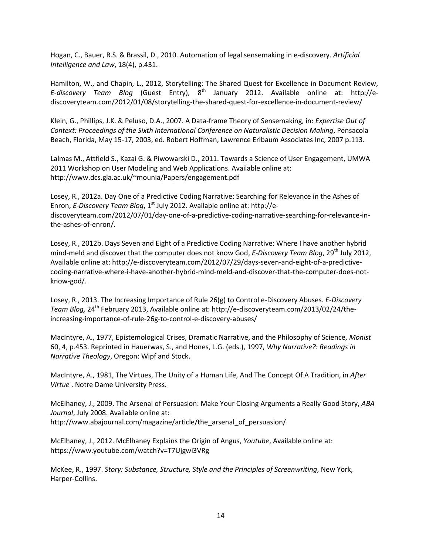Hogan, C., Bauer, R.S. & Brassil, D., 2010. Automation of legal sensemaking in e-discovery. *Artificial Intelligence and Law*, 18(4), p.431.

Hamilton, W., and Chapin, L., 2012, Storytelling: The Shared Quest for Excellence in Document Review, E-discovery Team Blog (Guest Entry), 8<sup>th</sup> January 2012. Available online at: http://ediscoveryteam.com/2012/01/08/storytelling-the-shared-quest-for-excellence-in-document-review/

Klein, G., Phillips, J.K. & Peluso, D.A., 2007. A Data-frame Theory of Sensemaking, in: *Expertise Out of Context: Proceedings of the Sixth International Conference on Naturalistic Decision Making*, Pensacola Beach, Florida, May 15-17, 2003, ed. Robert Hoffman, Lawrence Erlbaum Associates Inc, 2007 p.113.

Lalmas M., Attfield S., Kazai G. & Piwowarski D., 2011. Towards a Science of User Engagement, UMWA 2011 Workshop on User Modeling and Web Applications. Available online at: http://www.dcs.gla.ac.uk/~mounia/Papers/engagement.pdf

Losey, R., 2012a. Day One of a Predictive Coding Narrative: Searching for Relevance in the Ashes of Enron, *E-Discovery Team Blog*, 1<sup>st</sup> July 2012. Available online at: http://ediscoveryteam.com/2012/07/01/day-one-of-a-predictive-coding-narrative-searching-for-relevance-inthe-ashes-of-enron/.

Losey, R., 2012b. Days Seven and Eight of a Predictive Coding Narrative: Where I have another hybrid mind-meld and discover that the computer does not know God, *E-Discovery Team Blog*, 29th July 2012, Available online at: http://e-discoveryteam.com/2012/07/29/days-seven-and-eight-of-a-predictivecoding-narrative-where-i-have-another-hybrid-mind-meld-and-discover-that-the-computer-does-notknow-god/.

Losey, R., 2013. The Increasing Importance of Rule 26(g) to Control e-Discovery Abuses. *E-Discovery Team Blog,* 24th February 2013, Available online at: http://e-discoveryteam.com/2013/02/24/theincreasing-importance-of-rule-26g-to-control-e-discovery-abuses/

MacIntyre, A., 1977, Epistemological Crises, Dramatic Narrative, and the Philosophy of Science, *Monist* 60, 4, p.453. Reprinted in Hauerwas, S., and Hones, L.G. (eds.), 1997, *Why Narrative?: Readings in Narrative Theology*, Oregon: Wipf and Stock.

MacIntyre, A., 1981, The Virtues, The Unity of a Human Life, And The Concept Of A Tradition, in *After Virtue* . Notre Dame University Press.

McElhaney, J., 2009. The Arsenal of Persuasion: Make Your Closing Arguments a Really Good Story, *ABA Journal*, July 2008. Available online at: http://www.abajournal.com/magazine/article/the\_arsenal\_of\_persuasion/

McElhaney, J., 2012. McElhaney Explains the Origin of Angus, *Youtube*, Available online at: https://www.youtube.com/watch?v=T7Ujgwi3VRg

McKee, R., 1997. *Story: Substance, Structure, Style and the Principles of Screenwriting*, New York, Harper-Collins.